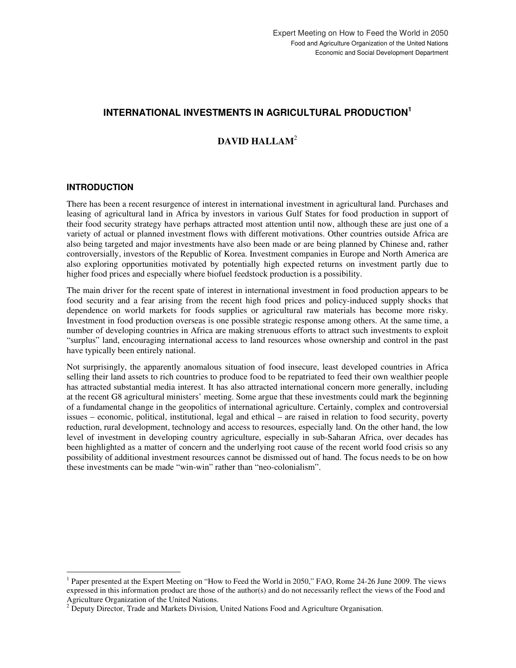# **INTERNATIONAL INVESTMENTS IN AGRICULTURAL PRODUCTION 1**

# **DAVID HALLAM**<sup>2</sup>

## **INTRODUCTION**

 $\ddot{\phantom{a}}$ 

There has been a recent resurgence of interest in international investment in agricultural land. Purchases and leasing of agricultural land in Africa by investors in various Gulf States for food production in support of their food security strategy have perhaps attracted most attention until now, although these are just one of a variety of actual or planned investment flows with different motivations. Other countries outside Africa are also being targeted and major investments have also been made or are being planned by Chinese and, rather controversially, investors of the Republic of Korea. Investment companies in Europe and North America are also exploring opportunities motivated by potentially high expected returns on investment partly due to higher food prices and especially where biofuel feedstock production is a possibility.

The main driver for the recent spate of interest in international investment in food production appears to be food security and a fear arising from the recent high food prices and policy-induced supply shocks that dependence on world markets for foods supplies or agricultural raw materials has become more risky. Investment in food production overseas is one possible strategic response among others. At the same time, a number of developing countries in Africa are making strenuous efforts to attract such investments to exploit "surplus" land, encouraging international access to land resources whose ownership and control in the past have typically been entirely national.

Not surprisingly, the apparently anomalous situation of food insecure, least developed countries in Africa selling their land assets to rich countries to produce food to be repatriated to feed their own wealthier people has attracted substantial media interest. It has also attracted international concern more generally, including at the recent G8 agricultural ministers' meeting. Some argue that these investments could mark the beginning of a fundamental change in the geopolitics of international agriculture. Certainly, complex and controversial issues – economic, political, institutional, legal and ethical – are raised in relation to food security, poverty reduction, rural development, technology and access to resources, especially land. On the other hand, the low level of investment in developing country agriculture, especially in sub-Saharan Africa, over decades has been highlighted as a matter of concern and the underlying root cause of the recent world food crisis so any possibility of additional investment resources cannot be dismissed out of hand. The focus needs to be on how these investments can be made "win-win" rather than "neo-colonialism".

<sup>&</sup>lt;sup>1</sup> Paper presented at the Expert Meeting on "How to Feed the World in 2050," FAO, Rome 24-26 June 2009. The views expressed in this information product are those of the author(s) and do not necessarily reflect the views of the Food and Agriculture Organization of the United Nations.

<sup>&</sup>lt;sup>2</sup> Deputy Director, Trade and Markets Division, United Nations Food and Agriculture Organisation.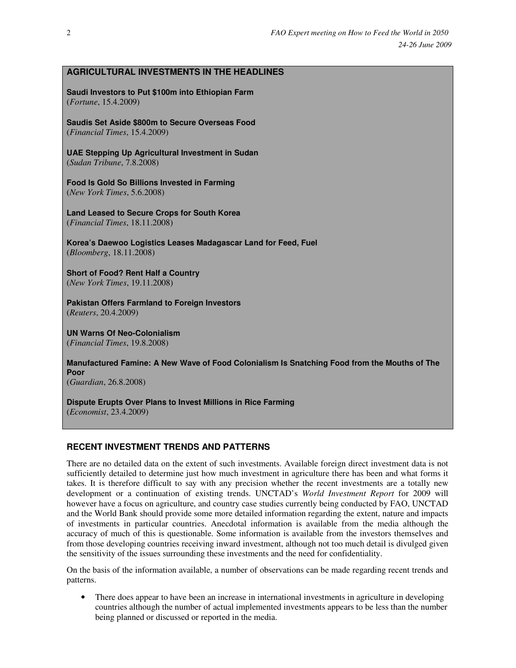# **AGRICULTURAL INVESTMENTS IN THE HEADLINES**

**Saudi Investors to Put \$100m into Ethiopian Farm** (*Fortune*, 15.4.2009)

**Saudis Set Aside \$800m to Secure Overseas Food**  (*Financial Times*, 15.4.2009)

**UAE Stepping Up Agricultural Investment in Sudan**  (*Sudan Tribune*, 7.8.2008)

**Food Is Gold So Billions Invested in Farming**  (*New York Times*, 5.6.2008)

**Land Leased to Secure Crops for South Korea**  (*Financial Times*, 18.11.2008)

**Korea's Daewoo Logistics Leases Madagascar Land for Feed, Fuel**  (*Bloomberg*, 18.11.2008)

**Short of Food? Rent Half a Country**  (*New York Times*, 19.11.2008)

**Pakistan Offers Farmland to Foreign Investors**  (*Reuters*, 20.4.2009)

**UN Warns Of Neo-Colonialism**  (*Financial Times*, 19.8.2008)

**Manufactured Famine: A New Wave of Food Colonialism Is Snatching Food from the Mouths of The Poor** 

(*Guardian*, 26.8.2008)

**Dispute Erupts Over Plans to Invest Millions in Rice Farming**  (*Economist*, 23.4.2009)

### **RECENT INVESTMENT TRENDS AND PATTERNS**

There are no detailed data on the extent of such investments. Available foreign direct investment data is not sufficiently detailed to determine just how much investment in agriculture there has been and what forms it takes. It is therefore difficult to say with any precision whether the recent investments are a totally new development or a continuation of existing trends. UNCTAD's *World Investment Report* for 2009 will however have a focus on agriculture, and country case studies currently being conducted by FAO, UNCTAD and the World Bank should provide some more detailed information regarding the extent, nature and impacts of investments in particular countries. Anecdotal information is available from the media although the accuracy of much of this is questionable. Some information is available from the investors themselves and from those developing countries receiving inward investment, although not too much detail is divulged given the sensitivity of the issues surrounding these investments and the need for confidentiality.

On the basis of the information available, a number of observations can be made regarding recent trends and patterns.

• There does appear to have been an increase in international investments in agriculture in developing countries although the number of actual implemented investments appears to be less than the number being planned or discussed or reported in the media.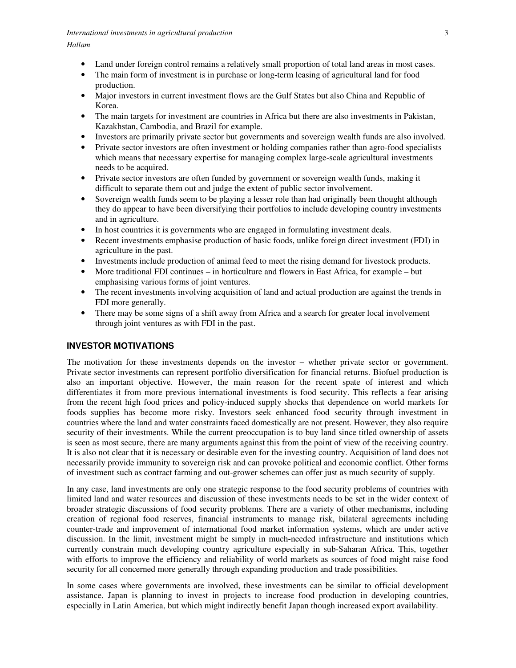- Land under foreign control remains a relatively small proportion of total land areas in most cases.
- The main form of investment is in purchase or long-term leasing of agricultural land for food production.
- Major investors in current investment flows are the Gulf States but also China and Republic of Korea.
- The main targets for investment are countries in Africa but there are also investments in Pakistan, Kazakhstan, Cambodia, and Brazil for example.
- Investors are primarily private sector but governments and sovereign wealth funds are also involved.
- Private sector investors are often investment or holding companies rather than agro-food specialists which means that necessary expertise for managing complex large-scale agricultural investments needs to be acquired.
- Private sector investors are often funded by government or sovereign wealth funds, making it difficult to separate them out and judge the extent of public sector involvement.
- Sovereign wealth funds seem to be playing a lesser role than had originally been thought although they do appear to have been diversifying their portfolios to include developing country investments and in agriculture.
- In host countries it is governments who are engaged in formulating investment deals.
- Recent investments emphasise production of basic foods, unlike foreign direct investment (FDI) in agriculture in the past.
- Investments include production of animal feed to meet the rising demand for livestock products.
- More traditional FDI continues in horticulture and flowers in East Africa, for example but emphasising various forms of joint ventures.
- The recent investments involving acquisition of land and actual production are against the trends in FDI more generally.
- There may be some signs of a shift away from Africa and a search for greater local involvement through joint ventures as with FDI in the past.

# **INVESTOR MOTIVATIONS**

The motivation for these investments depends on the investor – whether private sector or government. Private sector investments can represent portfolio diversification for financial returns. Biofuel production is also an important objective. However, the main reason for the recent spate of interest and which differentiates it from more previous international investments is food security. This reflects a fear arising from the recent high food prices and policy-induced supply shocks that dependence on world markets for foods supplies has become more risky. Investors seek enhanced food security through investment in countries where the land and water constraints faced domestically are not present. However, they also require security of their investments. While the current preoccupation is to buy land since titled ownership of assets is seen as most secure, there are many arguments against this from the point of view of the receiving country. It is also not clear that it is necessary or desirable even for the investing country. Acquisition of land does not necessarily provide immunity to sovereign risk and can provoke political and economic conflict. Other forms of investment such as contract farming and out-grower schemes can offer just as much security of supply.

In any case, land investments are only one strategic response to the food security problems of countries with limited land and water resources and discussion of these investments needs to be set in the wider context of broader strategic discussions of food security problems. There are a variety of other mechanisms, including creation of regional food reserves, financial instruments to manage risk, bilateral agreements including counter-trade and improvement of international food market information systems, which are under active discussion. In the limit, investment might be simply in much-needed infrastructure and institutions which currently constrain much developing country agriculture especially in sub-Saharan Africa. This, together with efforts to improve the efficiency and reliability of world markets as sources of food might raise food security for all concerned more generally through expanding production and trade possibilities.

In some cases where governments are involved, these investments can be similar to official development assistance. Japan is planning to invest in projects to increase food production in developing countries, especially in Latin America, but which might indirectly benefit Japan though increased export availability.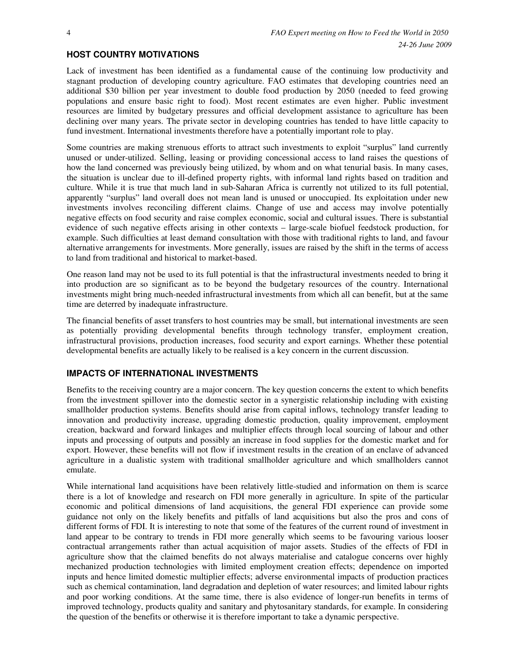#### **HOST COUNTRY MOTIVATIONS**

Lack of investment has been identified as a fundamental cause of the continuing low productivity and stagnant production of developing country agriculture. FAO estimates that developing countries need an additional \$30 billion per year investment to double food production by 2050 (needed to feed growing populations and ensure basic right to food). Most recent estimates are even higher. Public investment resources are limited by budgetary pressures and official development assistance to agriculture has been declining over many years. The private sector in developing countries has tended to have little capacity to fund investment. International investments therefore have a potentially important role to play.

Some countries are making strenuous efforts to attract such investments to exploit "surplus" land currently unused or under-utilized. Selling, leasing or providing concessional access to land raises the questions of how the land concerned was previously being utilized, by whom and on what tenurial basis. In many cases, the situation is unclear due to ill-defined property rights, with informal land rights based on tradition and culture. While it is true that much land in sub-Saharan Africa is currently not utilized to its full potential, apparently "surplus" land overall does not mean land is unused or unoccupied. Its exploitation under new investments involves reconciling different claims. Change of use and access may involve potentially negative effects on food security and raise complex economic, social and cultural issues. There is substantial evidence of such negative effects arising in other contexts – large-scale biofuel feedstock production, for example. Such difficulties at least demand consultation with those with traditional rights to land, and favour alternative arrangements for investments. More generally, issues are raised by the shift in the terms of access to land from traditional and historical to market-based.

One reason land may not be used to its full potential is that the infrastructural investments needed to bring it into production are so significant as to be beyond the budgetary resources of the country. International investments might bring much-needed infrastructural investments from which all can benefit, but at the same time are deterred by inadequate infrastructure.

The financial benefits of asset transfers to host countries may be small, but international investments are seen as potentially providing developmental benefits through technology transfer, employment creation, infrastructural provisions, production increases, food security and export earnings. Whether these potential developmental benefits are actually likely to be realised is a key concern in the current discussion.

### **IMPACTS OF INTERNATIONAL INVESTMENTS**

Benefits to the receiving country are a major concern. The key question concerns the extent to which benefits from the investment spillover into the domestic sector in a synergistic relationship including with existing smallholder production systems. Benefits should arise from capital inflows, technology transfer leading to innovation and productivity increase, upgrading domestic production, quality improvement, employment creation, backward and forward linkages and multiplier effects through local sourcing of labour and other inputs and processing of outputs and possibly an increase in food supplies for the domestic market and for export. However, these benefits will not flow if investment results in the creation of an enclave of advanced agriculture in a dualistic system with traditional smallholder agriculture and which smallholders cannot emulate.

While international land acquisitions have been relatively little-studied and information on them is scarce there is a lot of knowledge and research on FDI more generally in agriculture. In spite of the particular economic and political dimensions of land acquisitions, the general FDI experience can provide some guidance not only on the likely benefits and pitfalls of land acquisitions but also the pros and cons of different forms of FDI. It is interesting to note that some of the features of the current round of investment in land appear to be contrary to trends in FDI more generally which seems to be favouring various looser contractual arrangements rather than actual acquisition of major assets. Studies of the effects of FDI in agriculture show that the claimed benefits do not always materialise and catalogue concerns over highly mechanized production technologies with limited employment creation effects; dependence on imported inputs and hence limited domestic multiplier effects; adverse environmental impacts of production practices such as chemical contamination, land degradation and depletion of water resources; and limited labour rights and poor working conditions. At the same time, there is also evidence of longer-run benefits in terms of improved technology, products quality and sanitary and phytosanitary standards, for example. In considering the question of the benefits or otherwise it is therefore important to take a dynamic perspective.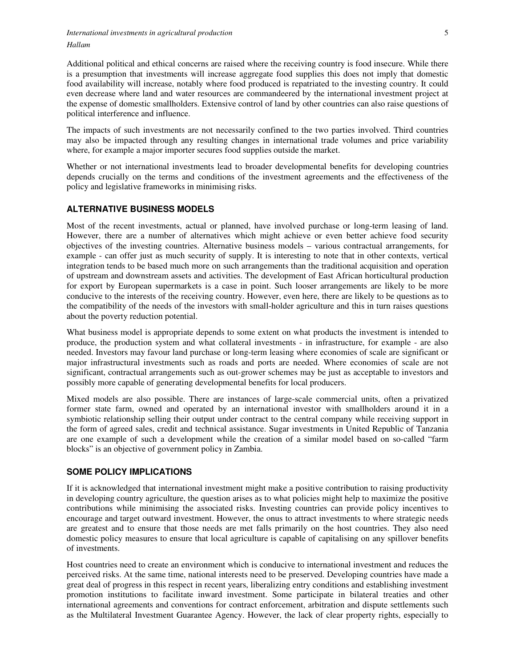Additional political and ethical concerns are raised where the receiving country is food insecure. While there is a presumption that investments will increase aggregate food supplies this does not imply that domestic food availability will increase, notably where food produced is repatriated to the investing country. It could even decrease where land and water resources are commandeered by the international investment project at the expense of domestic smallholders. Extensive control of land by other countries can also raise questions of political interference and influence.

The impacts of such investments are not necessarily confined to the two parties involved. Third countries may also be impacted through any resulting changes in international trade volumes and price variability where, for example a major importer secures food supplies outside the market.

Whether or not international investments lead to broader developmental benefits for developing countries depends crucially on the terms and conditions of the investment agreements and the effectiveness of the policy and legislative frameworks in minimising risks.

## **ALTERNATIVE BUSINESS MODELS**

Most of the recent investments, actual or planned, have involved purchase or long-term leasing of land. However, there are a number of alternatives which might achieve or even better achieve food security objectives of the investing countries. Alternative business models – various contractual arrangements, for example - can offer just as much security of supply. It is interesting to note that in other contexts, vertical integration tends to be based much more on such arrangements than the traditional acquisition and operation of upstream and downstream assets and activities. The development of East African horticultural production for export by European supermarkets is a case in point. Such looser arrangements are likely to be more conducive to the interests of the receiving country. However, even here, there are likely to be questions as to the compatibility of the needs of the investors with small-holder agriculture and this in turn raises questions about the poverty reduction potential.

What business model is appropriate depends to some extent on what products the investment is intended to produce, the production system and what collateral investments - in infrastructure, for example - are also needed. Investors may favour land purchase or long-term leasing where economies of scale are significant or major infrastructural investments such as roads and ports are needed. Where economies of scale are not significant, contractual arrangements such as out-grower schemes may be just as acceptable to investors and possibly more capable of generating developmental benefits for local producers.

Mixed models are also possible. There are instances of large-scale commercial units, often a privatized former state farm, owned and operated by an international investor with smallholders around it in a symbiotic relationship selling their output under contract to the central company while receiving support in the form of agreed sales, credit and technical assistance. Sugar investments in United Republic of Tanzania are one example of such a development while the creation of a similar model based on so-called "farm blocks" is an objective of government policy in Zambia.

### **SOME POLICY IMPLICATIONS**

If it is acknowledged that international investment might make a positive contribution to raising productivity in developing country agriculture, the question arises as to what policies might help to maximize the positive contributions while minimising the associated risks. Investing countries can provide policy incentives to encourage and target outward investment. However, the onus to attract investments to where strategic needs are greatest and to ensure that those needs are met falls primarily on the host countries. They also need domestic policy measures to ensure that local agriculture is capable of capitalising on any spillover benefits of investments.

Host countries need to create an environment which is conducive to international investment and reduces the perceived risks. At the same time, national interests need to be preserved. Developing countries have made a great deal of progress in this respect in recent years, liberalizing entry conditions and establishing investment promotion institutions to facilitate inward investment. Some participate in bilateral treaties and other international agreements and conventions for contract enforcement, arbitration and dispute settlements such as the Multilateral Investment Guarantee Agency. However, the lack of clear property rights, especially to